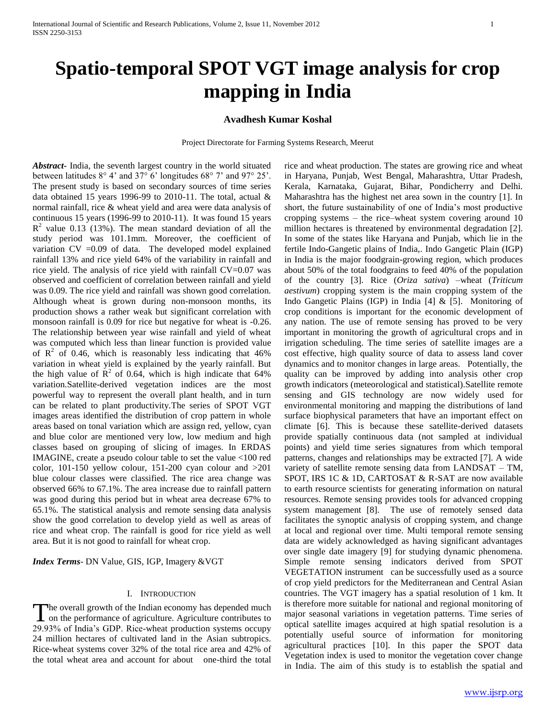# **Avadhesh Kumar Koshal**

Project Directorate for Farming Systems Research, Meerut

*Abstract***-** India, the seventh largest country in the world situated between latitudes 8° 4' and 37° 6' longitudes 68° 7' and 97° 25'. The present study is based on secondary sources of time series data obtained 15 years 1996-99 to 2010-11. The total, actual & normal rainfall, rice & wheat yield and area were data analysis of continuous 15 years (1996-99 to 2010-11). It was found 15 years  $R<sup>2</sup>$  value 0.13 (13%). The mean standard deviation of all the study period was 101.1mm. Moreover, the coefficient of variation CV =0.09 of data. The developed model explained rainfall 13% and rice yield 64% of the variability in rainfall and rice yield. The analysis of rice yield with rainfall CV=0.07 was observed and coefficient of correlation between rainfall and yield was 0.09. The rice yield and rainfall was shown good correlation. Although wheat is grown during non-monsoon months, its production shows a rather weak but significant correlation with monsoon rainfall is 0.09 for rice but negative for wheat is -0.26. The relationship between year wise rainfall and yield of wheat was computed which less than linear function is provided value of  $\mathbb{R}^2$  of 0.46, which is reasonably less indicating that 46% variation in wheat yield is explained by the yearly rainfall. But the high value of  $\mathbb{R}^2$  of 0.64, which is high indicate that 64% variation.Satellite-derived vegetation indices are the most powerful way to represent the overall plant health, and in turn can be related to plant productivity.The series of SPOT VGT images areas identified the distribution of crop pattern in whole areas based on tonal variation which are assign red, yellow, cyan and blue color are mentioned very low, low medium and high classes based on grouping of slicing of images. In ERDAS IMAGINE, create a pseudo colour table to set the value <100 red color, 101-150 yellow colour, 151-200 cyan colour and >201 blue colour classes were classified. The rice area change was observed 66% to 67.1%. The area increase due to rainfall pattern was good during this period but in wheat area decrease 67% to 65.1%. The statistical analysis and remote sensing data analysis show the good correlation to develop yield as well as areas of rice and wheat crop. The rainfall is good for rice yield as well area. But it is not good to rainfall for wheat crop.

*Index Terms*- DN Value, GIS, IGP, Imagery &VGT

## I. INTRODUCTION

he overall growth of the Indian economy has depended much The overall growth of the Indian economy has depended much<br>on the performance of agriculture. Agriculture contributes to 29.93% of India's GDP. Rice-wheat production systems occupy 24 million hectares of cultivated land in the Asian subtropics. Rice-wheat systems cover 32% of the total rice area and 42% of the total wheat area and account for about one-third the total

rice and wheat production. The states are growing rice and wheat in Haryana, Punjab, West Bengal, Maharashtra, Uttar Pradesh, Kerala, Karnataka, Gujarat, Bihar, Pondicherry and Delhi. Maharashtra has the highest net area sown in the country [1]. In short, the future sustainability of one of India's most productive cropping systems – the rice–wheat system covering around 10 million hectares is threatened by environmental degradation [2]. In some of the states like Haryana and Punjab, which lie in the fertile Indo-Gangetic plains of India,. Indo Gangetic Plain (IGP) in India is the major foodgrain-growing region, which produces about 50% of the total foodgrains to feed 40% of the population of the country [3]. Rice (*Oriza sativa*) –wheat (*Triticum aestivum*) cropping system is the main cropping system of the Indo Gangetic Plains (IGP) in India [4] & [5]. Monitoring of crop conditions is important for the economic development of any nation. The use of remote sensing has proved to be very important in monitoring the growth of agricultural crops and in irrigation scheduling. The time series of satellite images are a cost effective, high quality source of data to assess land cover dynamics and to monitor changes in large areas. Potentially, the quality can be improved by adding into analysis other crop growth indicators (meteorological and statistical).Satellite remote sensing and GIS technology are now widely used for environmental monitoring and mapping the distributions of land surface biophysical parameters that have an important effect on climate [6]. This is because these satellite-derived datasets provide spatially continuous data (not sampled at individual points) and yield time series signatures from which temporal patterns, changes and relationships may be extracted [7]. A wide variety of satellite remote sensing data from LANDSAT – TM, SPOT, IRS 1C & 1D, CARTOSAT & R-SAT are now available to earth resource scientists for generating information on natural resources. Remote sensing provides tools for advanced cropping system management [8]. The use of remotely sensed data facilitates the synoptic analysis of cropping system, and change at local and regional over time. Multi temporal remote sensing data are widely acknowledged as having significant advantages over single date imagery [9] for studying dynamic phenomena. Simple remote sensing indicators derived from SPOT VEGETATION instrument can be successfully used as a source of crop yield predictors for the Mediterranean and Central Asian countries. The VGT imagery has a spatial resolution of 1 km. It is therefore more suitable for national and regional monitoring of major seasonal variations in vegetation patterns. Time series of optical satellite images acquired at high spatial resolution is a potentially useful source of information for monitoring agricultural practices [10]. In this paper the SPOT data Vegetation index is used to monitor the vegetation cover change in India. The aim of this study is to establish the spatial and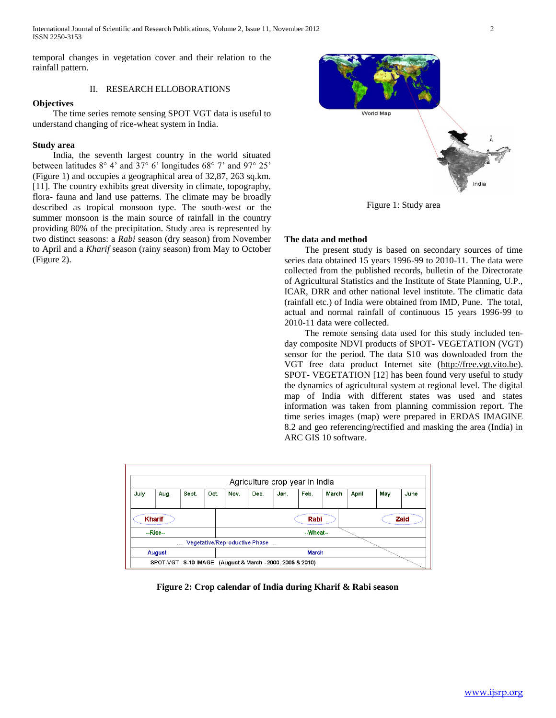International Journal of Scientific and Research Publications, Volume 2, Issue 11, November 2012 2 ISSN 2250-3153

temporal changes in vegetation cover and their relation to the rainfall pattern.

# II. RESEARCH ELLOBORATIONS

# **Objectives**

 The time series remote sensing SPOT VGT data is useful to understand changing of rice-wheat system in India.

# **Study area**

 India, the seventh largest country in the world situated between latitudes 8° 4' and 37° 6' longitudes 68° 7' and 97° 25' (Figure 1) and occupies a geographical area of 32,87, 263 sq.km. [11]. The country exhibits great diversity in climate, topography, flora- fauna and land use patterns. The climate may be broadly described as tropical monsoon type. The south-west or the summer monsoon is the main source of rainfall in the country providing 80% of the precipitation. Study area is represented by two distinct seasons: a *Rabi* season (dry season) from November to April and a *Kharif* season (rainy season) from May to October (Figure 2).



Figure 1: Study area

# **The data and method**

 The present study is based on secondary sources of time series data obtained 15 years 1996-99 to 2010-11. The data were collected from the published records, bulletin of the Directorate of Agricultural Statistics and the Institute of State Planning, U.P., ICAR, DRR and other national level institute. The climatic data (rainfall etc.) of India were obtained from IMD, Pune. The total, actual and normal rainfall of continuous 15 years 1996-99 to 2010-11 data were collected.

 The remote sensing data used for this study included tenday composite NDVI products of SPOT- VEGETATION (VGT) sensor for the period. The data S10 was downloaded from the VGT free data product Internet site [\(http://free.vgt.vito.be\)](http://free.vgt.vito.be/). SPOT- VEGETATION [12] has been found very useful to study the dynamics of agricultural system at regional level. The digital map of India with different states was used and states information was taken from planning commission report. The time series images (map) were prepared in ERDAS IMAGINE 8.2 and geo referencing/rectified and masking the area (India) in ARC GIS 10 software.

| Agriculture crop year in India                                    |        |       |      |       |      |      |      |       |       |     |      |
|-------------------------------------------------------------------|--------|-------|------|-------|------|------|------|-------|-------|-----|------|
| July                                                              | Aug.   | Sept. | Oct. | Nov.  | Dec. | Jan. | Feb. | March | April | May | June |
| <b>Kharif</b><br>Rabi<br>Zaid                                     |        |       |      |       |      |      |      |       |       |     |      |
| $-Rice-$<br>--Wheat--<br>Vegetative/Reproductive Phase<br>a a a c |        |       |      |       |      |      |      |       |       |     |      |
|                                                                   | August |       |      | March |      |      |      |       |       |     |      |
| SPOT-VGT S-10 IMAGE (August & March - 2000, 2005 & 2010)          |        |       |      |       |      |      |      |       |       |     |      |

**Figure 2: Crop calendar of India during Kharif & Rabi season**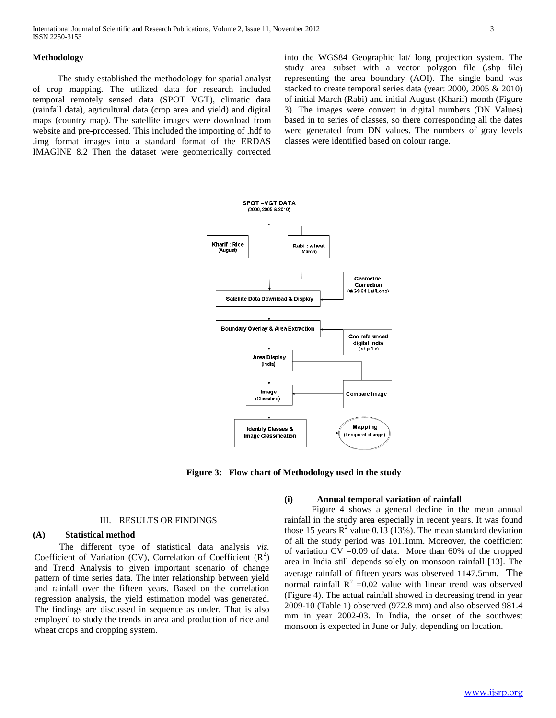The study established the methodology for spatial analyst of crop mapping. The utilized data for research included temporal remotely sensed data (SPOT VGT), climatic data (rainfall data), agricultural data (crop area and yield) and digital maps (country map). The satellite images were download from website and pre-processed. This included the importing of .hdf to .img format images into a standard format of the ERDAS IMAGINE 8.2 Then the dataset were geometrically corrected

into the WGS84 Geographic lat/ long projection system. The study area subset with a vector polygon file (.shp file) representing the area boundary (AOI). The single band was stacked to create temporal series data (year: 2000, 2005 & 2010) of initial March (Rabi) and initial August (Kharif) month (Figure 3). The images were convert in digital numbers (DN Values) based in to series of classes, so there corresponding all the dates were generated from DN values. The numbers of gray levels classes were identified based on colour range.



**Figure 3: Flow chart of Methodology used in the study**

## III. RESULTS OR FINDINGS

# **(A) Statistical method**

 The different type of statistical data analysis *viz.* Coefficient of Variation (CV), Correlation of Coefficient  $(R^2)$ and Trend Analysis to given important scenario of change pattern of time series data. The inter relationship between yield and rainfall over the fifteen years. Based on the correlation regression analysis, the yield estimation model was generated. The findings are discussed in sequence as under. That is also employed to study the trends in area and production of rice and wheat crops and cropping system.

## **(i) Annual temporal variation of rainfall**

Figure 4 shows a general decline in the mean annual rainfall in the study area especially in recent years. It was found those 15 years  $R^2$  value 0.13 (13%). The mean standard deviation of all the study period was 101.1mm. Moreover, the coefficient of variation  $CV = 0.09$  of data. More than 60% of the cropped area in India still depends solely on monsoon rainfall [13]. The average rainfall of fifteen years was observed 1147.5mm. The normal rainfall  $R^2 = 0.02$  value with linear trend was observed (Figure 4). The actual rainfall showed in decreasing trend in year 2009-10 (Table 1) observed (972.8 mm) and also observed 981.4 mm in year 2002-03. In India, the onset of the southwest monsoon is expected in June or July, depending on location.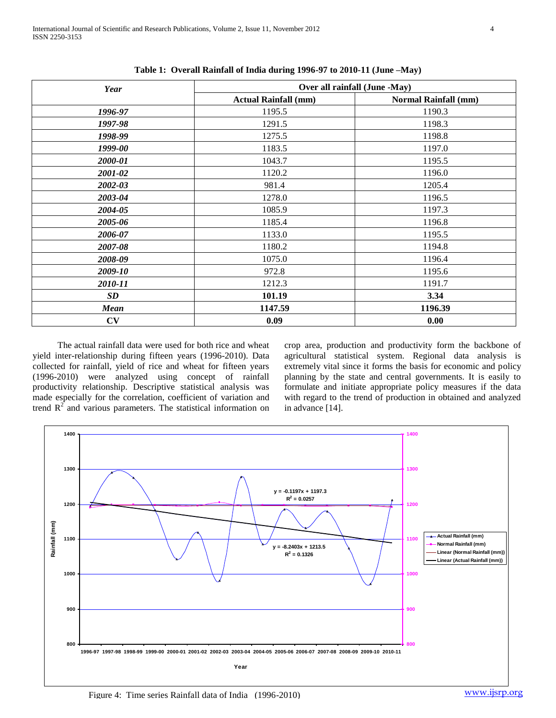| Year        | Over all rainfall (June -May) |                             |  |  |  |
|-------------|-------------------------------|-----------------------------|--|--|--|
|             | <b>Actual Rainfall (mm)</b>   | <b>Normal Rainfall (mm)</b> |  |  |  |
| 1996-97     | 1195.5                        | 1190.3                      |  |  |  |
| 1997-98     | 1291.5                        | 1198.3                      |  |  |  |
| 1998-99     | 1275.5                        | 1198.8                      |  |  |  |
| 1999-00     | 1183.5                        | 1197.0                      |  |  |  |
| 2000-01     | 1043.7                        | 1195.5                      |  |  |  |
| 2001-02     | 1120.2                        | 1196.0                      |  |  |  |
| 2002-03     | 981.4                         | 1205.4                      |  |  |  |
| 2003-04     | 1278.0                        | 1196.5                      |  |  |  |
| 2004-05     | 1085.9                        | 1197.3                      |  |  |  |
| 2005-06     | 1185.4                        | 1196.8                      |  |  |  |
| 2006-07     | 1133.0                        | 1195.5                      |  |  |  |
| 2007-08     | 1180.2                        | 1194.8                      |  |  |  |
| 2008-09     | 1075.0                        | 1196.4                      |  |  |  |
| 2009-10     | 972.8                         | 1195.6                      |  |  |  |
| 2010-11     | 1212.3                        | 1191.7                      |  |  |  |
| <b>SD</b>   | 101.19                        | 3.34                        |  |  |  |
| <b>Mean</b> | 1147.59                       | 1196.39                     |  |  |  |
| CV          | 0.09                          | 0.00                        |  |  |  |

**Table 1: Overall Rainfall of India during 1996-97 to 2010-11 (June –May)**

 The actual rainfall data were used for both rice and wheat yield inter-relationship during fifteen years (1996-2010). Data collected for rainfall, yield of rice and wheat for fifteen years (1996-2010) were analyzed using concept of rainfall productivity relationship. Descriptive statistical analysis was made especially for the correlation, coefficient of variation and trend  $R<sup>2</sup>$  and various parameters. The statistical information on crop area, production and productivity form the backbone of agricultural statistical system. Regional data analysis is extremely vital since it forms the basis for economic and policy planning by the state and central governments. It is easily to formulate and initiate appropriate policy measures if the data with regard to the trend of production in obtained and analyzed in advance [14].

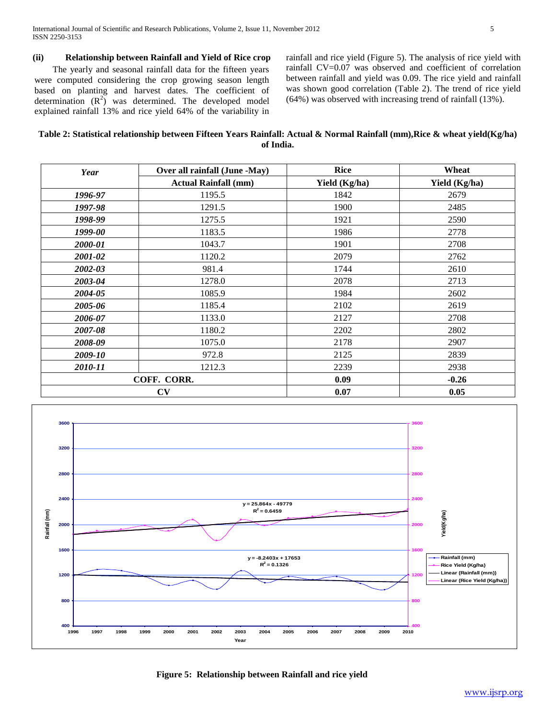# **(ii) Relationship between Rainfall and Yield of Rice crop**

 The yearly and seasonal rainfall data for the fifteen years were computed considering the crop growing season length based on planting and harvest dates. The coefficient of determination  $(R^2)$  was determined. The developed model explained rainfall 13% and rice yield 64% of the variability in

rainfall and rice yield (Figure 5). The analysis of rice yield with rainfall CV=0.07 was observed and coefficient of correlation between rainfall and yield was 0.09. The rice yield and rainfall was shown good correlation (Table 2). The trend of rice yield (64%) was observed with increasing trend of rainfall (13%).

# **Table 2: Statistical relationship between Fifteen Years Rainfall: Actual & Normal Rainfall (mm),Rice & wheat yield(Kg/ha) of India.**

| Year    | Over all rainfall (June -May) | <b>Rice</b>   | Wheat         |  |
|---------|-------------------------------|---------------|---------------|--|
|         | <b>Actual Rainfall (mm)</b>   | Yield (Kg/ha) | Yield (Kg/ha) |  |
| 1996-97 | 1195.5                        | 1842          | 2679          |  |
| 1997-98 | 1291.5                        | 1900          | 2485          |  |
| 1998-99 | 1275.5                        | 1921          | 2590          |  |
| 1999-00 | 1183.5                        | 1986          | 2778          |  |
| 2000-01 | 1043.7                        | 1901          | 2708          |  |
| 2001-02 | 1120.2                        | 2079          | 2762          |  |
| 2002-03 | 981.4                         | 1744          | 2610          |  |
| 2003-04 | 1278.0                        | 2078          | 2713          |  |
| 2004-05 | 1085.9                        | 1984          | 2602          |  |
| 2005-06 | 1185.4                        | 2102          | 2619          |  |
| 2006-07 | 1133.0                        | 2127          | 2708          |  |
| 2007-08 | 1180.2                        | 2202          | 2802          |  |
| 2008-09 | 1075.0                        | 2178          | 2907          |  |
| 2009-10 | 972.8                         | 2125          | 2839          |  |
| 2010-11 | 1212.3                        | 2239          | 2938          |  |
|         | COFF. CORR.                   | 0.09          | $-0.26$       |  |
|         | CV                            | 0.07          | 0.05          |  |



**Figure 5: Relationship between Rainfall and rice yield**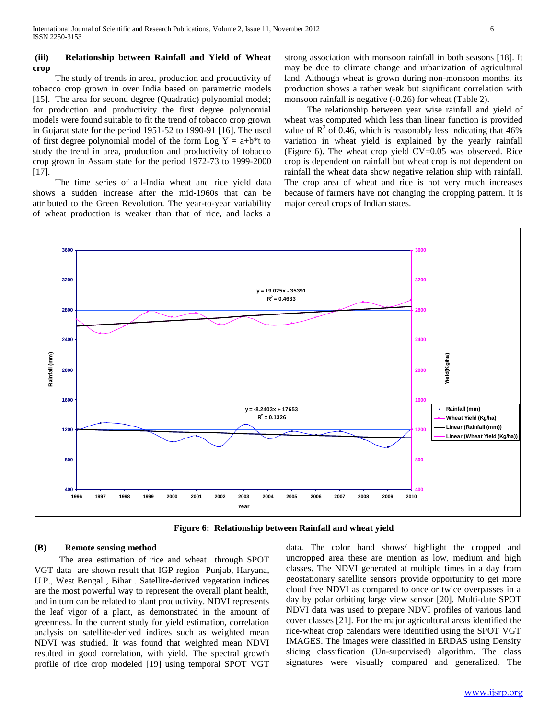## **(iii) Relationship between Rainfall and Yield of Wheat crop**

 The study of trends in area, production and productivity of tobacco crop grown in over India based on parametric models [15]. The area for second degree (Quadratic) polynomial model; for production and productivity the first degree polynomial models were found suitable to fit the trend of tobacco crop grown in Gujarat state for the period 1951-52 to 1990-91 [16]. The used of first degree polynomial model of the form Log  $Y = a+b*t$  to study the trend in area, production and productivity of tobacco crop grown in Assam state for the period 1972-73 to 1999-2000 [17].

 The time series of all-India wheat and rice yield data shows a sudden increase after the mid-1960s that can be attributed to the Green Revolution. The year-to-year variability of wheat production is weaker than that of rice, and lacks a

strong association with monsoon rainfall in both seasons [18]. It may be due to climate change and urbanization of agricultural land. Although wheat is grown during non-monsoon months, its production shows a rather weak but significant correlation with monsoon rainfall is negative (-0.26) for wheat (Table 2).

 The relationship between year wise rainfall and yield of wheat was computed which less than linear function is provided value of  $\mathbb{R}^2$  of 0.46, which is reasonably less indicating that 46% variation in wheat yield is explained by the yearly rainfall (Figure 6). The wheat crop yield CV=0.05 was observed. Rice crop is dependent on rainfall but wheat crop is not dependent on rainfall the wheat data show negative relation ship with rainfall. The crop area of wheat and rice is not very much increases because of farmers have not changing the cropping pattern. It is major cereal crops of Indian states.



**Figure 6: Relationship between Rainfall and wheat yield**

# **(B) Remote sensing method**

 The area estimation of rice and wheat through SPOT VGT data are shown result that IGP region Punjab, Haryana, U.P., West Bengal , Bihar . Satellite-derived vegetation indices are the most powerful way to represent the overall plant health, and in turn can be related to plant productivity. NDVI represents the leaf vigor of a plant, as demonstrated in the amount of greenness. In the current study for yield estimation, correlation analysis on satellite-derived indices such as weighted mean NDVI was studied. It was found that weighted mean NDVI resulted in good correlation, with yield. The spectral growth profile of rice crop modeled [19] using temporal SPOT VGT data. The color band shows/ highlight the cropped and uncropped area these are mention as low, medium and high classes. The NDVI generated at multiple times in a day from geostationary satellite sensors provide opportunity to get more cloud free NDVI as compared to once or twice overpasses in a day by polar orbiting large view sensor [20]. Multi-date SPOT NDVI data was used to prepare NDVI profiles of various land cover classes [21]. For the major agricultural areas identified the rice-wheat crop calendars were identified using the SPOT VGT IMAGES. The images were classified in ERDAS using Density slicing classification (Un-supervised) algorithm. The class signatures were visually compared and generalized. The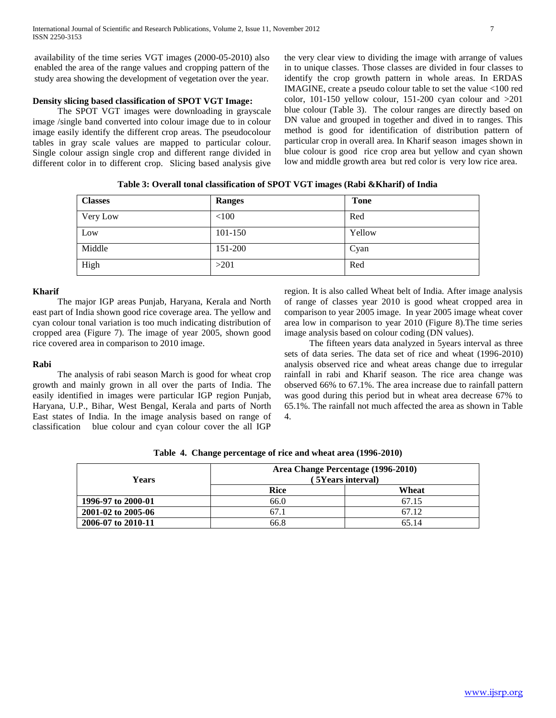availability of the time series VGT images (2000-05-2010) also enabled the area of the range values and cropping pattern of the study area showing the development of vegetation over the year.

# **Density slicing based classification of SPOT VGT Image:**

 The SPOT VGT images were downloading in grayscale image /single band converted into colour image due to in colour image easily identify the different crop areas. The pseudocolour tables in gray scale values are mapped to particular colour. Single colour assign single crop and different range divided in different color in to different crop. Slicing based analysis give

the very clear view to dividing the image with arrange of values in to unique classes. Those classes are divided in four classes to identify the crop growth pattern in whole areas. In ERDAS IMAGINE, create a pseudo colour table to set the value <100 red color, 101-150 yellow colour, 151-200 cyan colour and >201 blue colour (Table 3). The colour ranges are directly based on DN value and grouped in together and dived in to ranges. This method is good for identification of distribution pattern of particular crop in overall area. In Kharif season images shown in blue colour is good rice crop area but yellow and cyan shown low and middle growth area but red color is very low rice area.

**Table 3: Overall tonal classification of SPOT VGT images (Rabi &Kharif) of India**

| <b>Classes</b> | Ranges  | <b>Tone</b> |
|----------------|---------|-------------|
| Very Low       | < 100   | Red         |
| Low            | 101-150 | Yellow      |
| Middle         | 151-200 | Cyan        |
| High           | >201    | Red         |

# **Kharif**

 The major IGP areas Punjab, Haryana, Kerala and North east part of India shown good rice coverage area. The yellow and cyan colour tonal variation is too much indicating distribution of cropped area (Figure 7). The image of year 2005, shown good rice covered area in comparison to 2010 image.

## **Rabi**

 The analysis of rabi season March is good for wheat crop growth and mainly grown in all over the parts of India. The easily identified in images were particular IGP region Punjab, Haryana, U.P., Bihar, West Bengal, Kerala and parts of North East states of India. In the image analysis based on range of classification blue colour and cyan colour cover the all IGP

region. It is also called Wheat belt of India. After image analysis of range of classes year 2010 is good wheat cropped area in comparison to year 2005 image. In year 2005 image wheat cover area low in comparison to year 2010 (Figure 8).The time series image analysis based on colour coding (DN values).

 The fifteen years data analyzed in 5years interval as three sets of data series. The data set of rice and wheat (1996-2010) analysis observed rice and wheat areas change due to irregular rainfall in rabi and Kharif season. The rice area change was observed 66% to 67.1%. The area increase due to rainfall pattern was good during this period but in wheat area decrease 67% to 65.1%. The rainfall not much affected the area as shown in Table 4.

| Years              | Area Change Percentage (1996-2010)<br>5Years interval) |       |  |  |
|--------------------|--------------------------------------------------------|-------|--|--|
|                    | <b>Rice</b>                                            | Wheat |  |  |
| 1996-97 to 2000-01 | 66.0                                                   | 67.15 |  |  |
| 2001-02 to 2005-06 | 67.1                                                   | 67.12 |  |  |
| 2006-07 to 2010-11 | 66.8                                                   | 65 14 |  |  |

**Table 4. Change percentage of rice and wheat area (1996-2010)**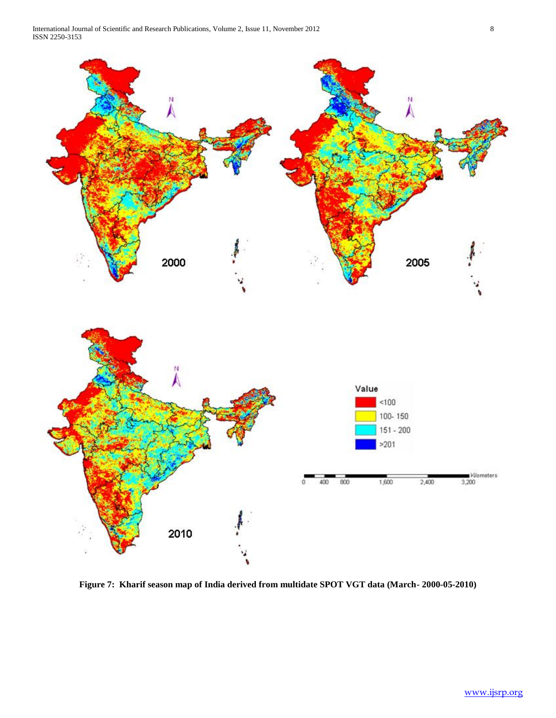



**Figure 7: Kharif season map of India derived from multidate SPOT VGT data (March- 2000-05-2010)**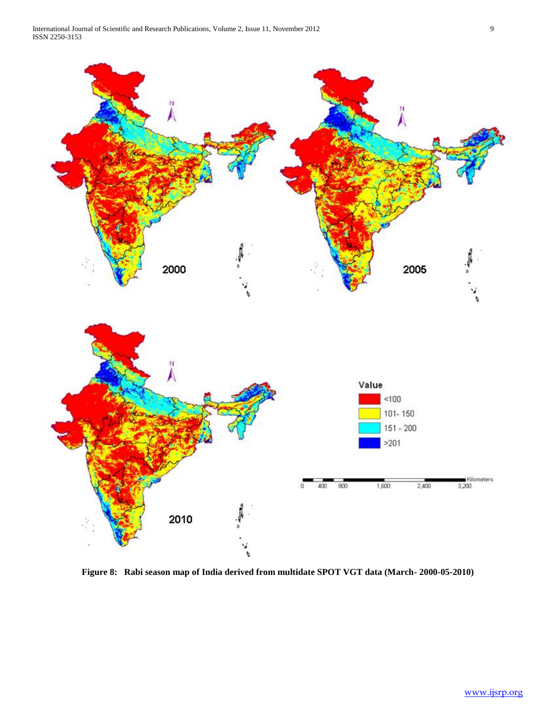

**Figure 8: Rabi season map of India derived from multidate SPOT VGT data (March- 2000-05-2010)**